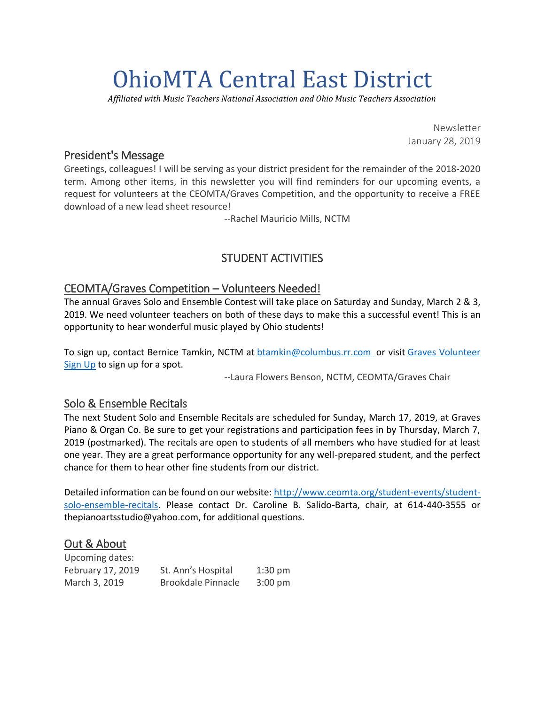# OhioMTA Central East District

*Affiliated with Music Teachers National Association and Ohio Music Teachers Association*

Newsletter January 28, 2019

## President's Message

Greetings, colleagues! I will be serving as your district president for the remainder of the 2018-2020 term. Among other items, in this newsletter you will find reminders for our upcoming events, a request for volunteers at the CEOMTA/Graves Competition, and the opportunity to receive a FREE download of a new lead sheet resource!

--Rachel Mauricio Mills, NCTM

# STUDENT ACTIVITIES

## CEOMTA/Graves Competition – Volunteers Needed!

The annual Graves Solo and Ensemble Contest will take place on Saturday and Sunday, March 2 & 3, 2019. We need volunteer teachers on both of these days to make this a successful event! This is an opportunity to hear wonderful music played by Ohio students!

To sign up, contact Bernice Tamkin, NCTM at [btamkin@columbus.rr.com](mailto:btamkin@columbus.rr.com?subject=Graves%20Volunteers) or visit Graves [Volunteer](https://www.signupgenius.com/go/20f0d4da8af2ca5f49-graves) [Sign](https://www.signupgenius.com/go/20f0d4da8af2ca5f49-graves) Up to sign up for a spot.

--Laura Flowers Benson, NCTM, CEOMTA/Graves Chair

## Solo & Ensemble Recitals

The next Student Solo and Ensemble Recitals are scheduled for Sunday, March 17, 2019, at Graves Piano & Organ Co. Be sure to get your registrations and participation fees in by Thursday, March 7, 2019 (postmarked). The recitals are open to students of all members who have studied for at least one year. They are a great performance opportunity for any well-prepared student, and the perfect chance for them to hear other fine students from our district.

Detailed information can be found on our website: [http://www.ceomta.org/student-events/student](http://www.ceomta.org/student-events/student-solo-ensemble-recitals)[solo-ensemble-recitals.](http://www.ceomta.org/student-events/student-solo-ensemble-recitals) Please contact Dr. Caroline B. Salido-Barta, chair, at 614-440-3555 or thepianoartsstudio@yahoo.com, for additional questions.

## Out & About

| Upcoming dates:   |                    |                   |
|-------------------|--------------------|-------------------|
| February 17, 2019 | St. Ann's Hospital | $1:30$ pm         |
| March 3, 2019     | Brookdale Pinnacle | $3:00 \text{ pm}$ |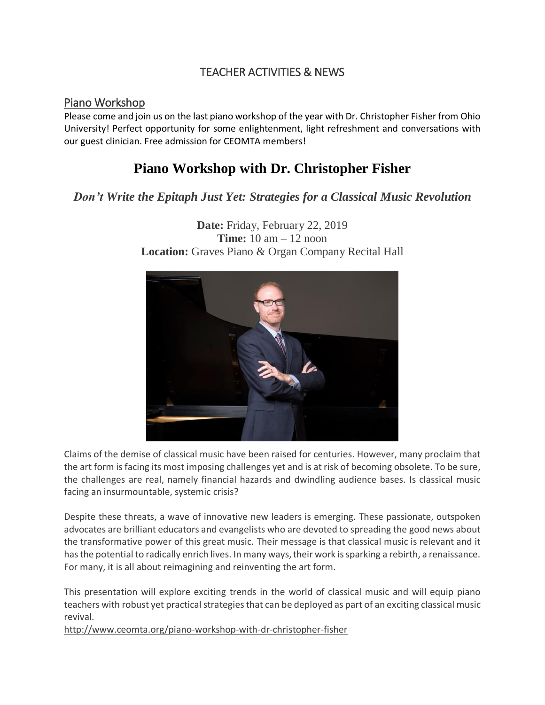## TEACHER ACTIVITIES & NEWS

#### Piano Workshop

Please come and join us on the last piano workshop of the year with Dr. Christopher Fisher from Ohio University! Perfect opportunity for some enlightenment, light refreshment and conversations with our guest clinician. Free admission for CEOMTA members!

# **Piano Workshop with Dr. Christopher Fisher**

## *Don't Write the Epitaph Just Yet: Strategies for a Classical Music Revolution*



**Date:** Friday, February 22, 2019 **Time:** 10 am – 12 noon **Location:** Graves Piano & Organ Company Recital Hall

Claims of the demise of classical music have been raised for centuries. However, many proclaim that the art form is facing its most imposing challenges yet and is at risk of becoming obsolete. To be sure, the challenges are real, namely financial hazards and dwindling audience bases. Is classical music facing an insurmountable, systemic crisis?

Despite these threats, a wave of innovative new leaders is emerging. These passionate, outspoken advocates are brilliant educators and evangelists who are devoted to spreading the good news about the transformative power of this great music. Their message is that classical music is relevant and it has the potential to radically enrich lives. In many ways, their work is sparking a rebirth, a renaissance. For many, it is all about reimagining and reinventing the art form.

This presentation will explore exciting trends in the world of classical music and will equip piano teachers with robust yet practical strategies that can be deployed as part of an exciting classical music revival.

<http://www.ceomta.org/piano-workshop-with-dr-christopher-fisher>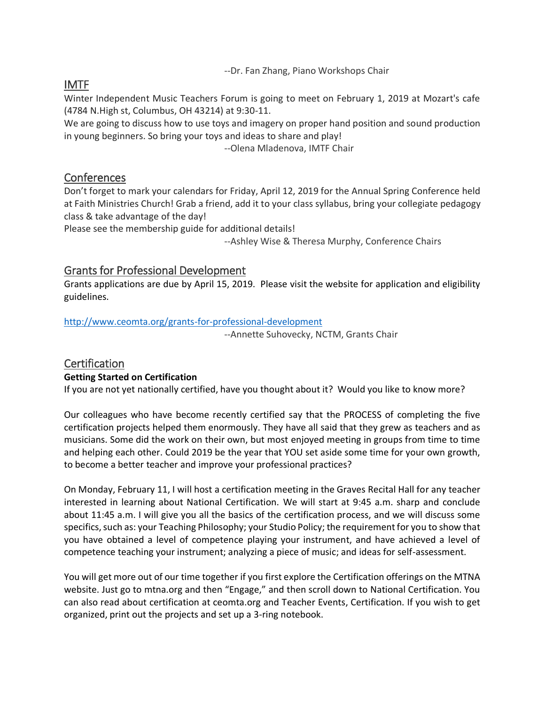--Dr. Fan Zhang, Piano Workshops Chair

# IMTF

Winter Independent Music Teachers Forum is going to meet on February 1, 2019 at Mozart's cafe (4784 N.High st, Columbus, OH 43214) at 9:30-11.

We are going to discuss how to use toys and imagery on proper hand position and sound production in young beginners. So bring your toys and ideas to share and play!

--Olena Mladenova, IMTF Chair

## **Conferences**

Don't forget to mark your calendars for Friday, April 12, 2019 for the Annual Spring Conference held at Faith Ministries Church! Grab a friend, add it to your class syllabus, bring your collegiate pedagogy class & take advantage of the day!

Please see the membership guide for additional details!

--Ashley Wise & Theresa Murphy, Conference Chairs

## Grants for Professional Development

Grants applications are due by April 15, 2019. Please visit the website for application and eligibility guidelines.

<http://www.ceomta.org/grants-for-professional-development>

--Annette Suhovecky, NCTM, Grants Chair

# **Certification**

#### **Getting Started on Certification**

If you are not yet nationally certified, have you thought about it? Would you like to know more?

Our colleagues who have become recently certified say that the PROCESS of completing the five certification projects helped them enormously. They have all said that they grew as teachers and as musicians. Some did the work on their own, but most enjoyed meeting in groups from time to time and helping each other. Could 2019 be the year that YOU set aside some time for your own growth, to become a better teacher and improve your professional practices?

On Monday, February 11, I will host a certification meeting in the Graves Recital Hall for any teacher interested in learning about National Certification. We will start at 9:45 a.m. sharp and conclude about 11:45 a.m. I will give you all the basics of the certification process, and we will discuss some specifics, such as: your Teaching Philosophy; your Studio Policy; the requirement for you to show that you have obtained a level of competence playing your instrument, and have achieved a level of competence teaching your instrument; analyzing a piece of music; and ideas for self-assessment.

You will get more out of our time together if you first explore the Certification offerings on the MTNA website. Just go to mtna.org and then "Engage," and then scroll down to National Certification. You can also read about certification at ceomta.org and Teacher Events, Certification. If you wish to get organized, print out the projects and set up a 3-ring notebook.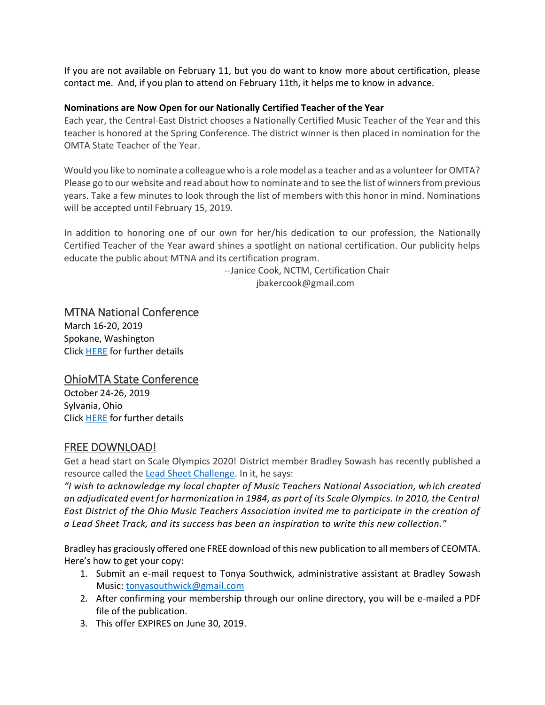If you are not available on February 11, but you do want to know more about certification, please contact me. And, if you plan to attend on February 11th, it helps me to know in advance.

#### **Nominations are Now Open for our Nationally Certified Teacher of the Year**

Each year, the Central-East District chooses a Nationally Certified Music Teacher of the Year and this teacher is honored at the Spring Conference. The district winner is then placed in nomination for the OMTA State Teacher of the Year.

Would you like to nominate a colleague who is a role model as a teacher and as a volunteer for OMTA? Please go to our website and read about how to nominate and to see the list of winners from previous years. Take a few minutes to look through the list of members with this honor in mind. Nominations will be accepted until February 15, 2019.

In addition to honoring one of our own for her/his dedication to our profession, the Nationally Certified Teacher of the Year award shines a spotlight on national certification. Our publicity helps educate the public about MTNA and its certification program.

> --Janice Cook, NCTM, Certification Chair jbakercook@gmail.com

### MTNA National Conference

March 16-20, 2019 Spokane, Washington Click [HERE](https://www.mtna.org/Conference/Conference_Home/Conference/Home.aspx?hkey=cecd079e-f62b-4ed5-8575-57e2283ba248) for further details

## OhioMTA State Conference

October 24-26, 2019 Sylvania, Ohio Click [HERE](http://www.ohiomta.org/fall-2019.html) for further details

## FREE DOWNLOAD!

Get a head start on Scale Olympics 2020! District member Bradley Sowash has recently published a resource called the [Lead Sheet Challenge.](https://bradleysowash.com/products-piano-supplements/lead-sheet-challenge) In it, he says:

*"I wish to acknowledge my local chapter of Music Teachers National Association, wh ich created an adjudicated event for harmonization in 1984, as part of its Scale Olympics. In 2010, the Central East District of the Ohio Music Teachers Association invited me to participate in the creation of a Lead Sheet Track, and its success has been an inspiration to write this new collection.*"

Bradley has graciously offered one FREE download of this new publication to all members of CEOMTA. Here's how to get your copy:

- 1. Submit an e-mail request to Tonya Southwick, administrative assistant at Bradley Sowash Music: [tonyasouthwick@gmail.com](mailto:tonyasouthwick@gmail.com)
- 2. After confirming your membership through our online directory, you will be e-mailed a PDF file of the publication.
- 3. This offer EXPIRES on June 30, 2019.